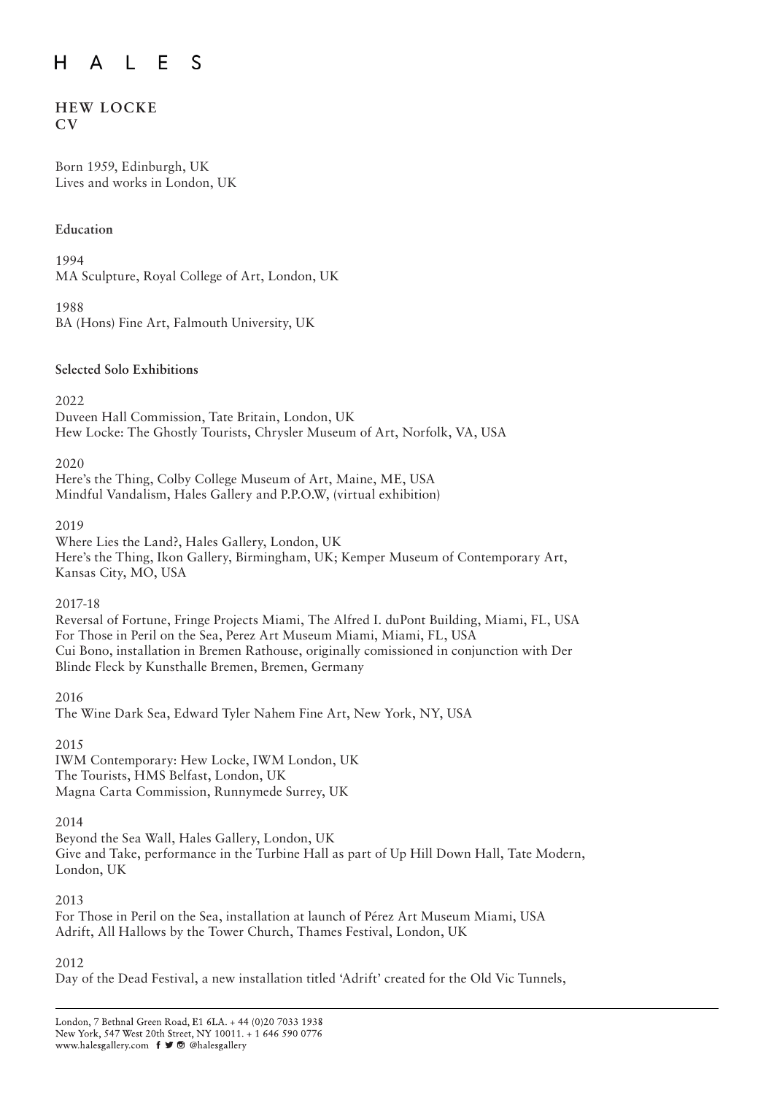#### $\vert$  F S  $H$  $\mathsf{A}$

# **HEW LOCKE CV**

Born 1959, Edinburgh, UK Lives and works in London, UK

# **Education**

1994 MA Sculpture, Royal College of Art, London, UK

1988 BA (Hons) Fine Art, Falmouth University, UK

**Selected Solo Exhibitions**

2022 Duveen Hall Commission, Tate Britain, London, UK Hew Locke: The Ghostly Tourists, Chrysler Museum of Art, Norfolk, VA, USA

2020 Here's the Thing, Colby College Museum of Art, Maine, ME, USA Mindful Vandalism, Hales Gallery and P.P.O.W, (virtual exhibition)

2019

Where Lies the Land?, Hales Gallery, London, UK Here's the Thing, Ikon Gallery, Birmingham, UK; Kemper Museum of Contemporary Art, Kansas City, MO, USA

2017-18

Reversal of Fortune, Fringe Projects Miami, The Alfred I. duPont Building, Miami, FL, USA For Those in Peril on the Sea, Perez Art Museum Miami, Miami, FL, USA Cui Bono, installation in Bremen Rathouse, originally comissioned in conjunction with Der Blinde Fleck by Kunsthalle Bremen, Bremen, Germany

2016

The Wine Dark Sea, Edward Tyler Nahem Fine Art, New York, NY, USA

2015 IWM Contemporary: Hew Locke, IWM London, UK The Tourists, HMS Belfast, London, UK Magna Carta Commission, Runnymede Surrey, UK

2014

Beyond the Sea Wall, Hales Gallery, London, UK Give and Take, performance in the Turbine Hall as part of Up Hill Down Hall, Tate Modern, London, UK

2013

For Those in Peril on the Sea, installation at launch of Pérez Art Museum Miami, USA Adrift, All Hallows by the Tower Church, Thames Festival, London, UK

2012

Day of the Dead Festival, a new installation titled 'Adrift' created for the Old Vic Tunnels,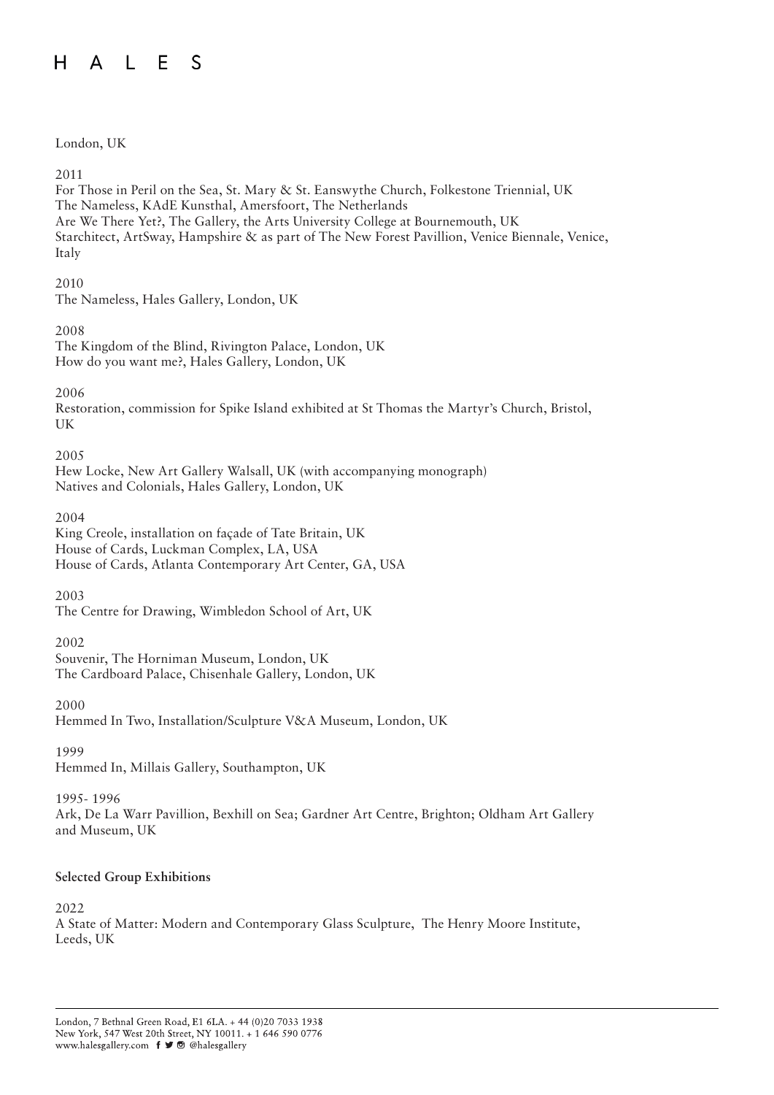#### $H$ A L E S

# London, UK

# 2011

For Those in Peril on the Sea, St. Mary & St. Eanswythe Church, Folkestone Triennial, UK The Nameless, KAdE Kunsthal, Amersfoort, The Netherlands Are We There Yet?, The Gallery, the Arts University College at Bournemouth, UK Starchitect, ArtSway, Hampshire & as part of The New Forest Pavillion, Venice Biennale, Venice, Italy

# 2010

The Nameless, Hales Gallery, London, UK

# 2008

The Kingdom of the Blind, Rivington Palace, London, UK How do you want me?, Hales Gallery, London, UK

2006

Restoration, commission for Spike Island exhibited at St Thomas the Martyr's Church, Bristol, UK

2005

Hew Locke, New Art Gallery Walsall, UK (with accompanying monograph) Natives and Colonials, Hales Gallery, London, UK

2004

King Creole, installation on façade of Tate Britain, UK House of Cards, Luckman Complex, LA, USA House of Cards, Atlanta Contemporary Art Center, GA, USA

# 2003

The Centre for Drawing, Wimbledon School of Art, UK

2002

Souvenir, The Horniman Museum, London, UK The Cardboard Palace, Chisenhale Gallery, London, UK

2000

Hemmed In Two, Installation/Sculpture V&A Museum, London, UK

1999

Hemmed In, Millais Gallery, Southampton, UK

1995- 1996

Ark, De La Warr Pavillion, Bexhill on Sea; Gardner Art Centre, Brighton; Oldham Art Gallery and Museum, UK

# **Selected Group Exhibitions**

2022

A State of Matter: Modern and Contemporary Glass Sculpture, The Henry Moore Institute, Leeds, UK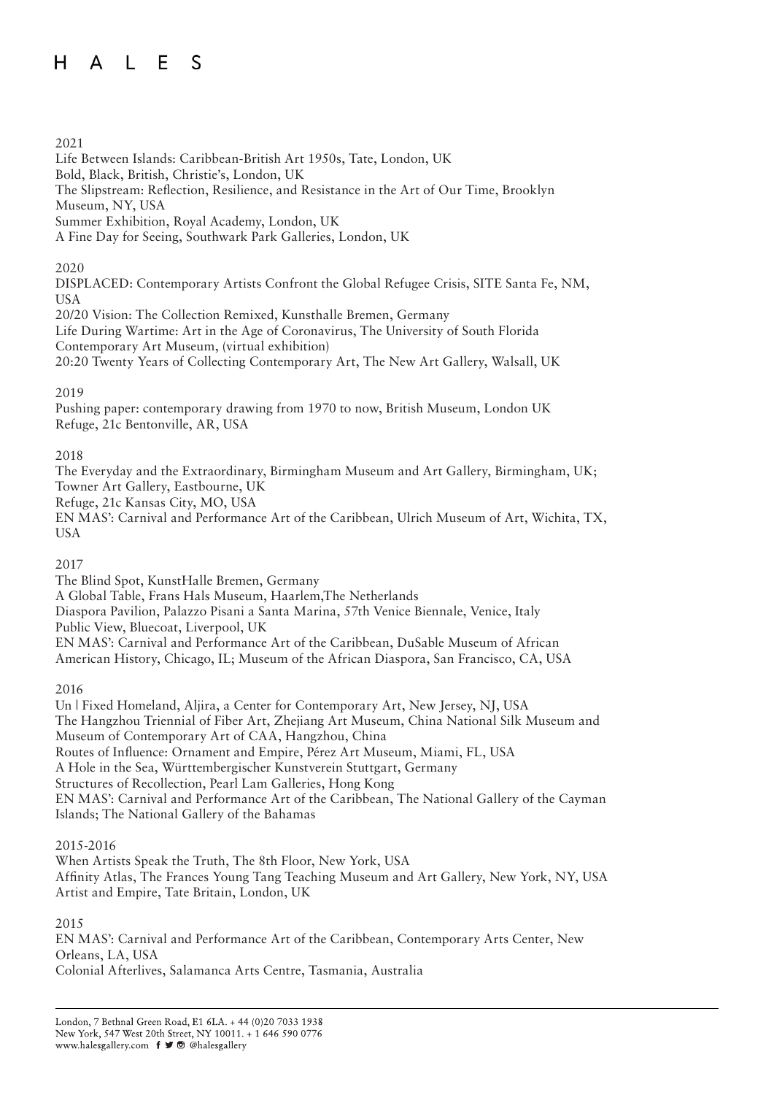#### ALES  $H$

# 2021

Life Between Islands: Caribbean-British Art 1950s, Tate, London, UK Bold, Black, British, Christie's, London, UK The Slipstream: Reflection, Resilience, and Resistance in the Art of Our Time, Brooklyn Museum, NY, USA Summer Exhibition, Royal Academy, London, UK

A Fine Day for Seeing, Southwark Park Galleries, London, UK

# 2020

DISPLACED: Contemporary Artists Confront the Global Refugee Crisis, SITE Santa Fe, NM, USA

20/20 Vision: The Collection Remixed, Kunsthalle Bremen, Germany Life During Wartime: Art in the Age of Coronavirus, The University of South Florida Contemporary Art Museum, (virtual exhibition) 20:20 Twenty Years of Collecting Contemporary Art, The New Art Gallery, Walsall, UK

# 2019

Pushing paper: contemporary drawing from 1970 to now, British Museum, London UK Refuge, 21c Bentonville, AR, USA

# 2018

The Everyday and the Extraordinary, Birmingham Museum and Art Gallery, Birmingham, UK; Towner Art Gallery, Eastbourne, UK Refuge, 21c Kansas City, MO, USA EN MAS': Carnival and Performance Art of the Caribbean, Ulrich Museum of Art, Wichita, TX, USA

# 2017

The Blind Spot, KunstHalle Bremen, Germany A Global Table, Frans Hals Museum, Haarlem,The Netherlands Diaspora Pavilion, Palazzo Pisani a Santa Marina, 57th Venice Biennale, Venice, Italy Public View, Bluecoat, Liverpool, UK EN MAS': Carnival and Performance Art of the Caribbean, DuSable Museum of African American History, Chicago, IL; Museum of the African Diaspora, San Francisco, CA, USA

2016

Un | Fixed Homeland, Aljira, a Center for Contemporary Art, New Jersey, NJ, USA The Hangzhou Triennial of Fiber Art, Zhejiang Art Museum, China National Silk Museum and Museum of Contemporary Art of CAA, Hangzhou, China Routes of Influence: Ornament and Empire, Pérez Art Museum, Miami, FL, USA A Hole in the Sea, Württembergischer Kunstverein Stuttgart, Germany Structures of Recollection, Pearl Lam Galleries, Hong Kong EN MAS': Carnival and Performance Art of the Caribbean, The National Gallery of the Cayman Islands; The National Gallery of the Bahamas

# 2015-2016

When Artists Speak the Truth, The 8th Floor, New York, USA Affinity Atlas, The Frances Young Tang Teaching Museum and Art Gallery, New York, NY, USA Artist and Empire, Tate Britain, London, UK

# 2015

EN MAS': Carnival and Performance Art of the Caribbean, Contemporary Arts Center, New Orleans, LA, USA Colonial Afterlives, Salamanca Arts Centre, Tasmania, Australia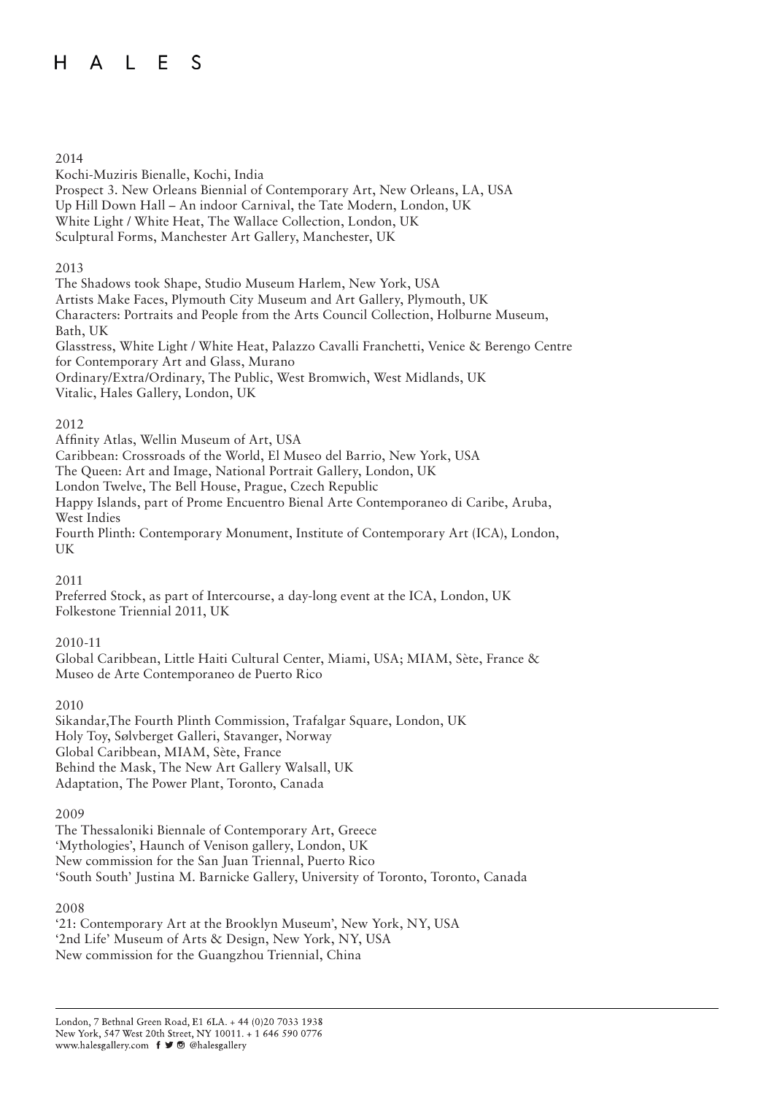#### ALES  $H$

## 2014

Kochi-Muziris Bienalle, Kochi, India Prospect 3. New Orleans Biennial of Contemporary Art, New Orleans, LA, USA Up Hill Down Hall – An indoor Carnival, the Tate Modern, London, UK White Light / White Heat, The Wallace Collection, London, UK Sculptural Forms, Manchester Art Gallery, Manchester, UK

## 2013

The Shadows took Shape, Studio Museum Harlem, New York, USA Artists Make Faces, Plymouth City Museum and Art Gallery, Plymouth, UK Characters: Portraits and People from the Arts Council Collection, Holburne Museum, Bath, UK Glasstress, White Light / White Heat, Palazzo Cavalli Franchetti, Venice & Berengo Centre for Contemporary Art and Glass, Murano Ordinary/Extra/Ordinary, The Public, West Bromwich, West Midlands, UK Vitalic, Hales Gallery, London, UK

## 2012

Affinity Atlas, Wellin Museum of Art, USA Caribbean: Crossroads of the World, El Museo del Barrio, New York, USA The Queen: Art and Image, National Portrait Gallery, London, UK London Twelve, The Bell House, Prague, Czech Republic Happy Islands, part of Prome Encuentro Bienal Arte Contemporaneo di Caribe, Aruba, West Indies Fourth Plinth: Contemporary Monument, Institute of Contemporary Art (ICA), London, UK

2011

Preferred Stock, as part of Intercourse, a day-long event at the ICA, London, UK Folkestone Triennial 2011, UK

#### 2010-11

Global Caribbean, Little Haiti Cultural Center, Miami, USA; MIAM, Sète, France & Museo de Arte Contemporaneo de Puerto Rico

2010

Sikandar,The Fourth Plinth Commission, Trafalgar Square, London, UK Holy Toy, Sølvberget Galleri, Stavanger, Norway Global Caribbean, MIAM, Sète, France Behind the Mask, The New Art Gallery Walsall, UK Adaptation, The Power Plant, Toronto, Canada

2009

The Thessaloniki Biennale of Contemporary Art, Greece 'Mythologies', Haunch of Venison gallery, London, UK New commission for the San Juan Triennal, Puerto Rico 'South South' Justina M. Barnicke Gallery, University of Toronto, Toronto, Canada

#### 2008

'21: Contemporary Art at the Brooklyn Museum', New York, NY, USA '2nd Life' Museum of Arts & Design, New York, NY, USA New commission for the Guangzhou Triennial, China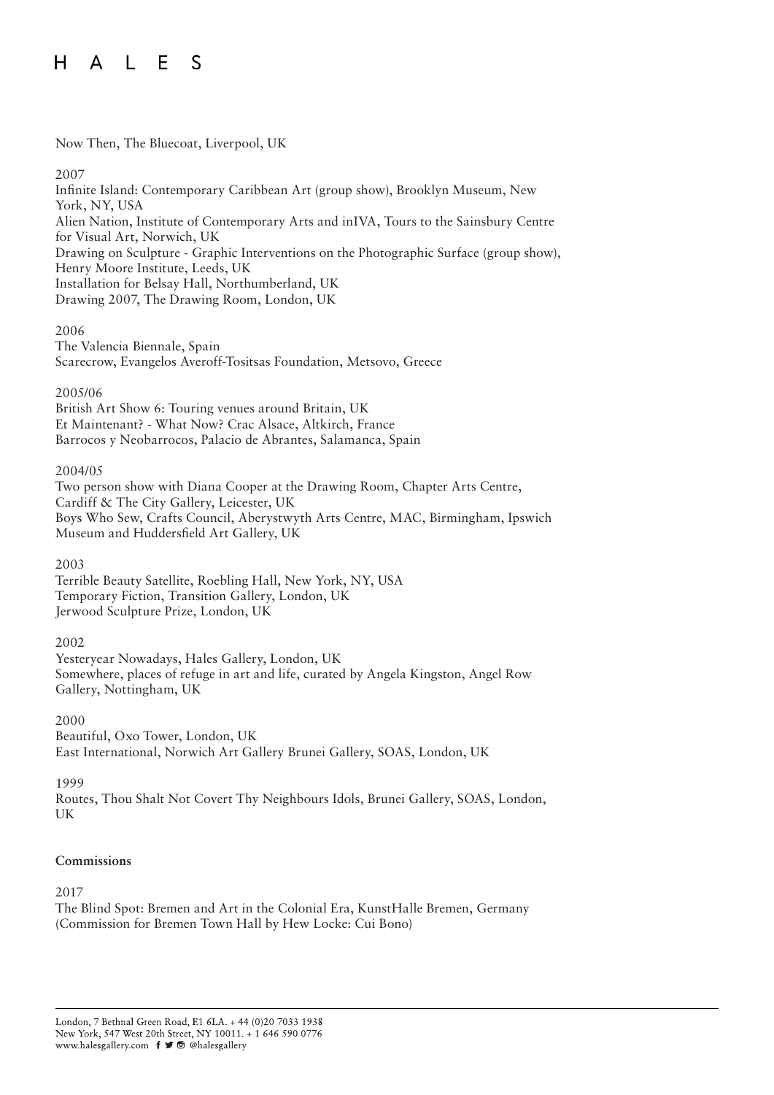#### A L E S  $H$

## Now Then, The Bluecoat, Liverpool, UK

## 2007

Infinite Island: Contemporary Caribbean Art (group show), Brooklyn Museum, New York, NY, USA Alien Nation, Institute of Contemporary Arts and inIVA, Tours to the Sainsbury Centre for Visual Art, Norwich, UK Drawing on Sculpture - Graphic Interventions on the Photographic Surface (group show), Henry Moore Institute, Leeds, UK Installation for Belsay Hall, Northumberland, UK Drawing 2007, The Drawing Room, London, UK

## 2006

The Valencia Biennale, Spain Scarecrow, Evangelos Averoff-Tositsas Foundation, Metsovo, Greece

## 2005/06

British Art Show 6: Touring venues around Britain, UK Et Maintenant? - What Now? Crac Alsace, Altkirch, France Barrocos y Neobarrocos, Palacio de Abrantes, Salamanca, Spain

## 2004/05

Two person show with Diana Cooper at the Drawing Room, Chapter Arts Centre, Cardiff & The City Gallery, Leicester, UK Boys Who Sew, Crafts Council, Aberystwyth Arts Centre, MAC, Birmingham, Ipswich Museum and Huddersfield Art Gallery, UK

#### 2003

Terrible Beauty Satellite, Roebling Hall, New York, NY, USA Temporary Fiction, Transition Gallery, London, UK Jerwood Sculpture Prize, London, UK

#### 2002

Yesteryear Nowadays, Hales Gallery, London, UK Somewhere, places of refuge in art and life, curated by Angela Kingston, Angel Row Gallery, Nottingham, UK

2000 Beautiful, Oxo Tower, London, UK East International, Norwich Art Gallery Brunei Gallery, SOAS, London, UK

#### 1999

Routes, Thou Shalt Not Covert Thy Neighbours Idols, Brunei Gallery, SOAS, London, UK

# **Commissions**

# 2017

The Blind Spot: Bremen and Art in the Colonial Era, KunstHalle Bremen, Germany (Commission for Bremen Town Hall by Hew Locke: Cui Bono)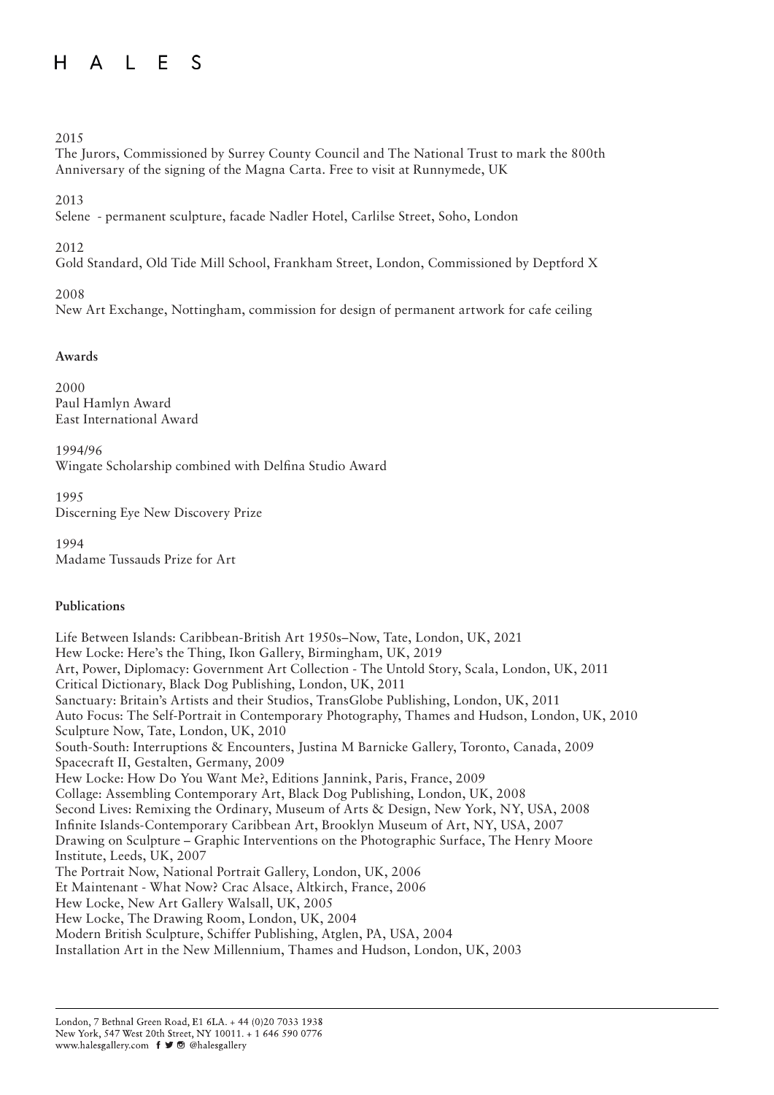# HALES

# 2015

The Jurors, Commissioned by Surrey County Council and The National Trust to mark the 800th Anniversary of the signing of the Magna Carta. Free to visit at Runnymede, UK

2013

Selene - permanent sculpture, facade Nadler Hotel, Carlilse Street, Soho, London

2012

Gold Standard, Old Tide Mill School, Frankham Street, London, Commissioned by Deptford X

2008

New Art Exchange, Nottingham, commission for design of permanent artwork for cafe ceiling

# **Awards**

2000 Paul Hamlyn Award East International Award

1994/96 Wingate Scholarship combined with Delfina Studio Award

1995 Discerning Eye New Discovery Prize

1994 Madame Tussauds Prize for Art

# **Publications**

Life Between Islands: Caribbean-British Art 1950s–Now, Tate, London, UK, 2021 Hew Locke: Here's the Thing, Ikon Gallery, Birmingham, UK, 2019 Art, Power, Diplomacy: Government Art Collection - The Untold Story, Scala, London, UK, 2011 Critical Dictionary, Black Dog Publishing, London, UK, 2011 Sanctuary: Britain's Artists and their Studios, TransGlobe Publishing, London, UK, 2011 Auto Focus: The Self-Portrait in Contemporary Photography, Thames and Hudson, London, UK, 2010 Sculpture Now, Tate, London, UK, 2010 South-South: Interruptions & Encounters, Justina M Barnicke Gallery, Toronto, Canada, 2009 Spacecraft II, Gestalten, Germany, 2009 Hew Locke: How Do You Want Me?, Editions Jannink, Paris, France, 2009 Collage: Assembling Contemporary Art, Black Dog Publishing, London, UK, 2008 Second Lives: Remixing the Ordinary, Museum of Arts & Design, New York, NY, USA, 2008 Infinite Islands-Contemporary Caribbean Art, Brooklyn Museum of Art, NY, USA, 2007 Drawing on Sculpture – Graphic Interventions on the Photographic Surface, The Henry Moore Institute, Leeds, UK, 2007 The Portrait Now, National Portrait Gallery, London, UK, 2006 Et Maintenant - What Now? Crac Alsace, Altkirch, France, 2006 Hew Locke, New Art Gallery Walsall, UK, 2005 Hew Locke, The Drawing Room, London, UK, 2004 Modern British Sculpture, Schiffer Publishing, Atglen, PA, USA, 2004 Installation Art in the New Millennium, Thames and Hudson, London, UK, 2003